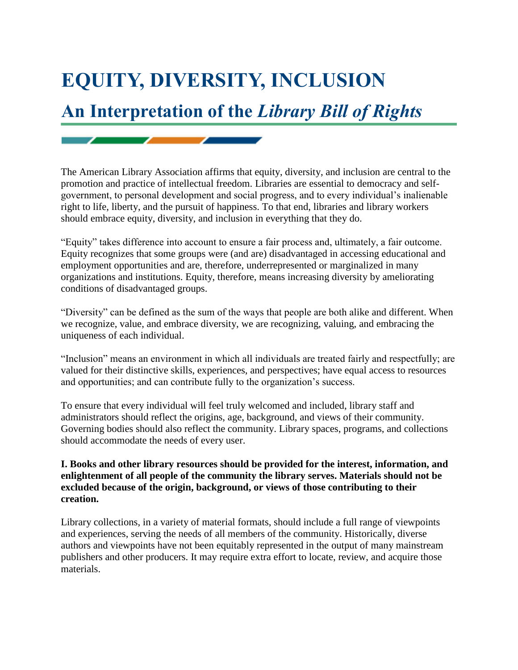# **EQUITY, DIVERSITY, INCLUSION**

 $\overline{1}$  and  $\overline{1}$  and  $\overline{1}$ 

# **An Interpretation of the** *Library Bill of Rights*

The American Library Association affirms that equity, diversity, and inclusion are central to the promotion and practice of intellectual freedom. Libraries are essential to democracy and selfgovernment, to personal development and social progress, and to every individual's inalienable right to life, liberty, and the pursuit of happiness. To that end, libraries and library workers should embrace equity, diversity, and inclusion in everything that they do.

"Equity" takes difference into account to ensure a fair process and, ultimately, a fair outcome. Equity recognizes that some groups were (and are) disadvantaged in accessing educational and employment opportunities and are, therefore, underrepresented or marginalized in many organizations and institutions. Equity, therefore, means increasing diversity by ameliorating conditions of disadvantaged groups.

"Diversity" can be defined as the sum of the ways that people are both alike and different. When we recognize, value, and embrace diversity, we are recognizing, valuing, and embracing the uniqueness of each individual.

"Inclusion" means an environment in which all individuals are treated fairly and respectfully; are valued for their distinctive skills, experiences, and perspectives; have equal access to resources and opportunities; and can contribute fully to the organization's success.

To ensure that every individual will feel truly welcomed and included, library staff and administrators should reflect the origins, age, background, and views of their community. Governing bodies should also reflect the community. Library spaces, programs, and collections should accommodate the needs of every user.

# **I. Books and other library resources should be provided for the interest, information, and enlightenment of all people of the community the library serves. Materials should not be excluded because of the origin, background, or views of those contributing to their creation.**

Library collections, in a variety of material formats, should include a full range of viewpoints and experiences, serving the needs of all members of the community. Historically, diverse authors and viewpoints have not been equitably represented in the output of many mainstream publishers and other producers. It may require extra effort to locate, review, and acquire those materials.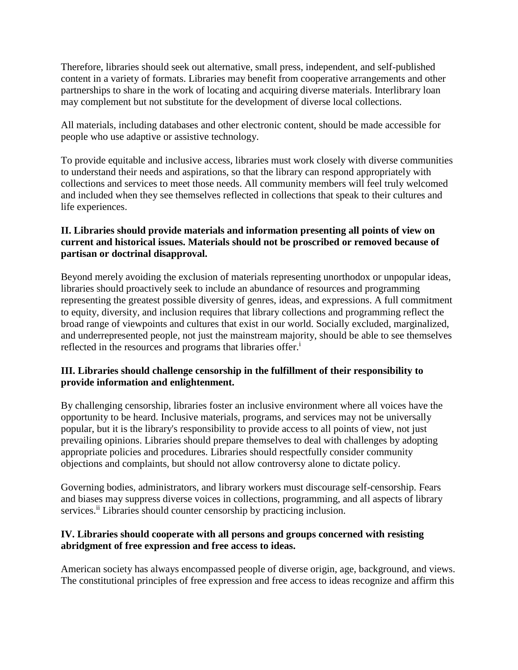Therefore, libraries should seek out alternative, small press, independent, and self-published content in a variety of formats. Libraries may benefit from cooperative arrangements and other partnerships to share in the work of locating and acquiring diverse materials. Interlibrary loan may complement but not substitute for the development of diverse local collections.

All materials, including databases and other electronic content, should be made accessible for people who use adaptive or assistive technology.

To provide equitable and inclusive access, libraries must work closely with diverse communities to understand their needs and aspirations, so that the library can respond appropriately with collections and services to meet those needs. All community members will feel truly welcomed and included when they see themselves reflected in collections that speak to their cultures and life experiences.

# **II. Libraries should provide materials and information presenting all points of view on current and historical issues. Materials should not be proscribed or removed because of partisan or doctrinal disapproval.**

Beyond merely avoiding the exclusion of materials representing unorthodox or unpopular ideas, libraries should proactively seek to include an abundance of resources and programming representing the greatest possible diversity of genres, ideas, and expressions. A full commitment to equity, diversity, and inclusion requires that library collections and programming reflect the broad range of viewpoints and cultures that exist in our world. Socially excluded, marginalized, and underrepresented people, not just the mainstream majority, should be able to see themselves reflected in the resources and programs that libraries offer.<sup>i</sup>

# **III. Libraries should challenge censorship in the fulfillment of their responsibility to provide information and enlightenment.**

By challenging censorship, libraries foster an inclusive environment where all voices have the opportunity to be heard. Inclusive materials, programs, and services may not be universally popular, but it is the library's responsibility to provide access to all points of view, not just prevailing opinions. Libraries should prepare themselves to deal with challenges by adopting appropriate policies and procedures. Libraries should respectfully consider community objections and complaints, but should not allow controversy alone to dictate policy.

Governing bodies, administrators, and library workers must discourage self-censorship. Fears and biases may suppress diverse voices in collections, programming, and all aspects of library services.<sup>ii</sup> Libraries should counter censorship by practicing inclusion.

# **IV. Libraries should cooperate with all persons and groups concerned with resisting abridgment of free expression and free access to ideas.**

American society has always encompassed people of diverse origin, age, background, and views. The constitutional principles of free expression and free access to ideas recognize and affirm this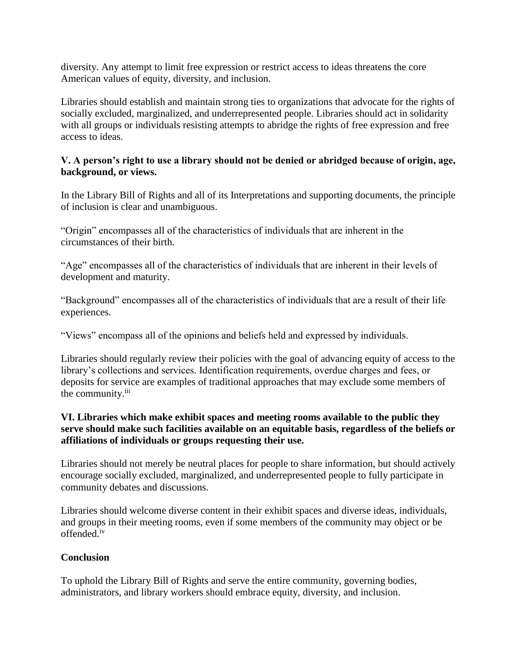diversity. Any attempt to limit free expression or restrict access to ideas threatens the core American values of equity, diversity, and inclusion.

Libraries should establish and maintain strong ties to organizations that advocate for the rights of socially excluded, marginalized, and underrepresented people. Libraries should act in solidarity with all groups or individuals resisting attempts to abridge the rights of free expression and free access to ideas.

# **V. A person's right to use a library should not be denied or abridged because of origin, age, background, or views.**

In the Library Bill of Rights and all of its Interpretations and supporting documents, the principle of inclusion is clear and unambiguous.

"Origin" encompasses all of the characteristics of individuals that are inherent in the circumstances of their birth.

"Age" encompasses all of the characteristics of individuals that are inherent in their levels of development and maturity.

"Background" encompasses all of the characteristics of individuals that are a result of their life experiences.

"Views" encompass all of the opinions and beliefs held and expressed by individuals.

Libraries should regularly review their policies with the goal of advancing equity of access to the library's collections and services. Identification requirements, overdue charges and fees, or deposits for service are examples of traditional approaches that may exclude some members of the community.<sup>iii</sup>

# **VI. Libraries which make exhibit spaces and meeting rooms available to the public they serve should make such facilities available on an equitable basis, regardless of the beliefs or affiliations of individuals or groups requesting their use.**

Libraries should not merely be neutral places for people to share information, but should actively encourage socially excluded, marginalized, and underrepresented people to fully participate in community debates and discussions.

Libraries should welcome diverse content in their exhibit spaces and diverse ideas, individuals, and groups in their meeting rooms, even if some members of the community may object or be offended.iv

# **Conclusion**

To uphold the Library Bill of Rights and serve the entire community, governing bodies, administrators, and library workers should embrace equity, diversity, and inclusion.